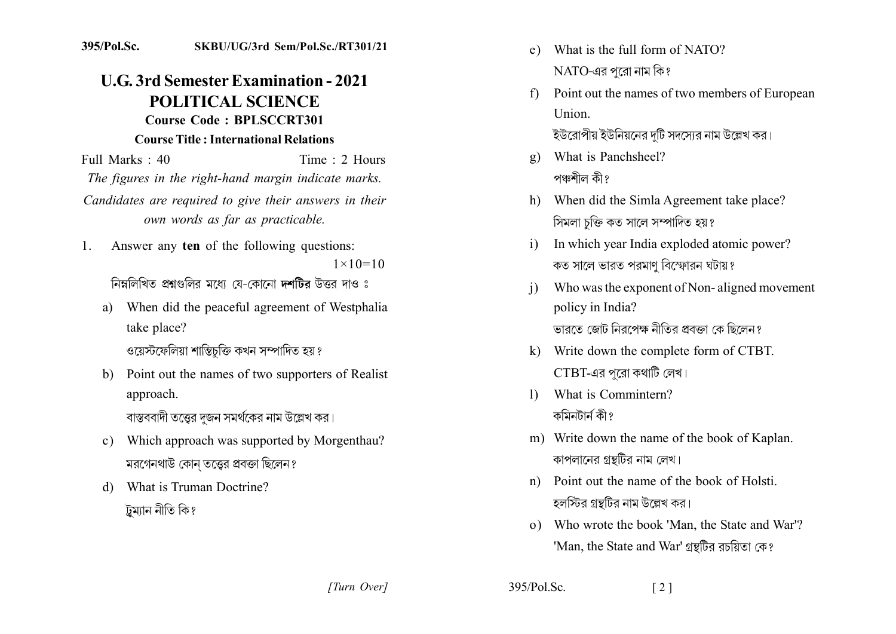## 395/Pol.Sc. SKBU/UG/3rd Sem/Pol.Sc./RT301/21

## **U.G. 3rd Semester Examination - 2021 POLITICAL SCIENCE** Course Code: BPLSCCRT301 **Course Title: International Relations**

Full Marks  $\cdot$  40 Time  $\cdot$  2 Hours The figures in the right-hand margin indicate marks. Candidates are required to give their answers in their own words as far as practicable.

- Answer any ten of the following questions:  $1_{-}$  $1 \times 10 = 10$ নিম্নলিখিত প্ৰশ্নগুলির মধ্যে যে-কোনো দশটির উত্তর দাও ঃ
	- When did the peaceful agreement of Westphalia  $a)$ take place?

ওয়েস্টফেলিয়া শান্তিচক্তি কখন সম্পাদিত হয় ?

b) Point out the names of two supporters of Realist approach.

বাস্তববাদী তত্তের দজন সমর্থকের নাম উল্লেখ কর।

- c) Which approach was supported by Morgenthau? মরগেনথাউ কোন তত্ত্বের প্রবক্তা ছিলেন?
- What is Truman Doctrine?  $\mathbf{d}$ ট্ৰম্যান নীতি কি?
- What is the full form of NATO?  $e)$  $NATO$ -এর পরো নাম কি?
- Point out the names of two members of European  $f$ Union. ইউরোপীয় ইউনিয়নের দটি সদসোর নাম উল্লেখ কর।
- What is Panchsheel?  $g)$ পঞ্চশীল কী?
- h) When did the Simla Agreement take place? সিমলা চক্তি কত সালে সম্পাদিত হয়?
- In which year India exploded atomic power?  $i)$ কত সালে ভারত পরমাণ বিস্ফোরন ঘটায়?
- Who was the exponent of Non-aligned movement  $\overline{1}$ policy in India? ভাবতে জোট নিবপেক্ষ নীতিব প্ৰবক্তা কে ছিলেন?
- k) Write down the complete form of CTBT.  $CTBT$ -এর পরো কথাটি লেখ।
- What is Commintern?  $\mathbf{D}$ কমিনটার্ন কী?
- m) Write down the name of the book of Kaplan. কাপলানের গ্রন্থটির নাম লেখ।
- n) Point out the name of the book of Holsti হলস্টির গ্রন্থটির নাম উল্লেখ কর।
- o) Who wrote the book 'Man, the State and War'? 'Man, the State and War' গ্রন্থটির রচয়িতা কে?

 $\lceil 2 \rceil$ 

[Turn Over]

 $395/P<sub>ol</sub>$  Sc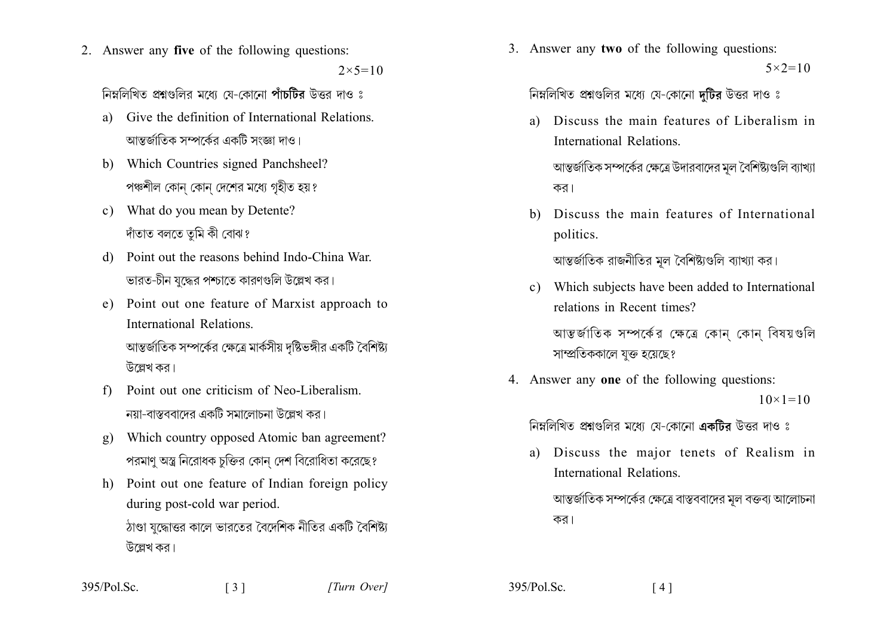2. Answer any five of the following questions:

 $2 \times 5 = 10$ 

নিম্নলিখিত প্ৰশ্নগুলির মধ্যে যে-কোনো পাঁচটিব উত্তর দাও ঃ

- a) Give the definition of International Relations আন্তর্জাতিক সম্পর্কের একটি সংজ্ঞা দাও।
- b) Which Countries signed Panchsheel? পঞ্চশীল কোন কোন দেশের মধ্যে গহীত হয়?
- c) What do you mean by Detente? দাঁতাত বলতে তুমি কী বোঝ?
- Point out the reasons behind Indo-China War.  $\mathcal{A}$ ভারত-চীন যুদ্ধের পশ্চাতে কারণগুলি উল্লেখ কর।
- e) Point out one feature of Marxist approach to International Relations আন্তর্জাতিক সম্পর্কের ক্ষেত্রে মার্কসীয় দৃষ্টিভঙ্গীর একটি বৈশিষ্ট্য উল্লেখ কর।
- Point out one criticism of Neo-Liberalism  $f$ নযা-বাস্তববাদেব একটি সমালোচনা উল্লেখ কব।
- Which country opposed Atomic ban agreement?  $g)$ পরমাণ অস্ত্র নিরোধক চুক্তির কোন দেশ বিরোধিতা করেছে?
- h) Point out one feature of Indian foreign policy during post-cold war period. ঠাণ্ডা যদ্ধোত্তর কালে ভারতের বৈদেশিক নীতির একটি বৈশিষ্ট্য উল্লেখ কর।

3. Answer any two of the following questions:  $5 \times 2 = 10$ 

নিম্নলিখিত প্রশ্নগুলির মধ্যে যে-কোনো দুটির উত্তর দাও ঃ

- Discuss the main features of Liberalism in a) International Relations আন্তর্জাতিক সম্পর্কের ক্ষেত্রে উদারবাদের মূল বৈশিষ্ট্যগুলি ব্যাখ্যা কর।
- Discuss the main features of International  $h)$ politics.

আন্তর্জাতিক রাজনীতির মূল বৈশিষ্ট্যগুলি ব্যাখ্যা কর।

c) Which subjects have been added to International relations in Recent times?

আন্তর্জাতিক সম্পর্কের ক্ষেত্রে কোন কোন বিষয়গুলি সাম্প্রতিককালে যুক্ত হয়েছে?

4. Answer any one of the following questions:  $10 \times 1 = 10$ 

নিম্নলিখিত প্রশ্নগুলির মধ্যে যে-কোনো একটির উত্তর দাও ঃ

- Discuss the major tenets of Realism in a) International Relations
	- আন্তর্জাতিক সম্পর্কের ক্ষেত্রে বাস্তববাদের মল বক্তব্য আলোচনা কর।

| 395/Pol.Sc.<br>$\lceil 3 \rceil$ |  |
|----------------------------------|--|
|----------------------------------|--|

395/Pol.Sc.